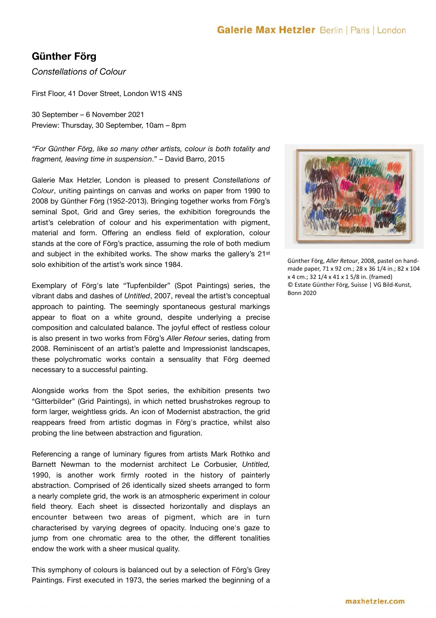# **Günther Förg**

*Constellations of Colour* 

First Floor, 41 Dover Street, London W1S 4NS

30 September – 6 November 2021 Preview: Thursday, 30 September, 10am – 8pm

*"For Günther Förg, like so many other artists, colour is both totality and fragment, leaving time in suspension*." – David Barro, 2015

Galerie Max Hetzler, London is pleased to present *Constellations of Colour*, uniting paintings on canvas and works on paper from 1990 to 2008 by Günther Förg (1952-2013). Bringing together works from Förg's seminal Spot, Grid and Grey series, the exhibition foregrounds the artist's celebration of colour and his experimentation with pigment, material and form. Offering an endless field of exploration, colour stands at the core of Förg's practice, assuming the role of both medium and subject in the exhibited works. The show marks the gallery's 21st solo exhibition of the artist's work since 1984.

Exemplary of Förg's late "Tupfenbilder" (Spot Paintings) series, the vibrant dabs and dashes of *Untitled*, 2007, reveal the artist's conceptual approach to painting. The seemingly spontaneous gestural markings appear to float on a white ground, despite underlying a precise composition and calculated balance. The joyful effect of restless colour is also present in two works from Förg's *Aller Retour* series, dating from 2008. Reminiscent of an artist's palette and Impressionist landscapes, these polychromatic works contain a sensuality that Förg deemed necessary to a successful painting.

Alongside works from the Spot series, the exhibition presents two "Gitterbilder" (Grid Paintings), in which netted brushstrokes regroup to form larger, weightless grids. An icon of Modernist abstraction, the grid reappears freed from artistic dogmas in Förg's practice, whilst also probing the line between abstraction and figuration.

Referencing a range of luminary figures from artists Mark Rothko and Barnett Newman to the modernist architect Le Corbusier, *Untitled,*  1990, is another work firmly rooted in the history of painterly abstraction. Comprised of 26 identically sized sheets arranged to form a nearly complete grid, the work is an atmospheric experiment in colour field theory. Each sheet is dissected horizontally and displays an encounter between two areas of pigment, which are in turn characterised by varying degrees of opacity. Inducing one's gaze to jump from one chromatic area to the other, the different tonalities endow the work with a sheer musical quality.

This symphony of colours is balanced out by a selection of Förg's Grey Paintings. First executed in 1973, the series marked the beginning of a



Günther Förg, *Aller Retour*, 2008, pastel on handmade paper, 71 x 92 cm.; 28 x 36 1/4 in.; 82 x 104 x 4 cm.; 32 1/4 x 41 x 1 5/8 in. (framed) © Estate Günther Förg, Suisse | VG Bild-Kunst, Bonn 2020